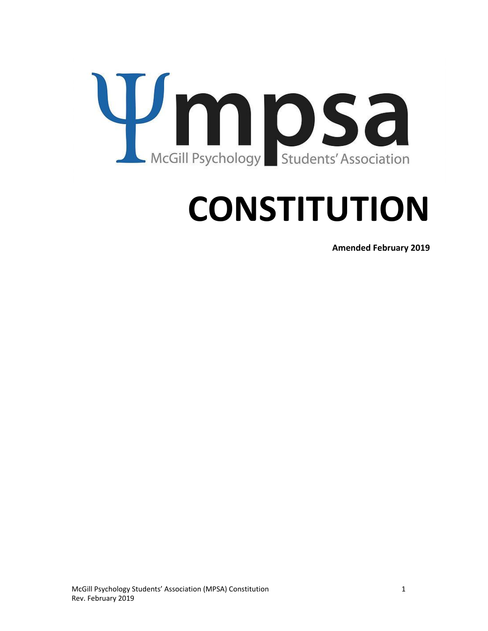

# **CONSTITUTION**

**Amended February 2019**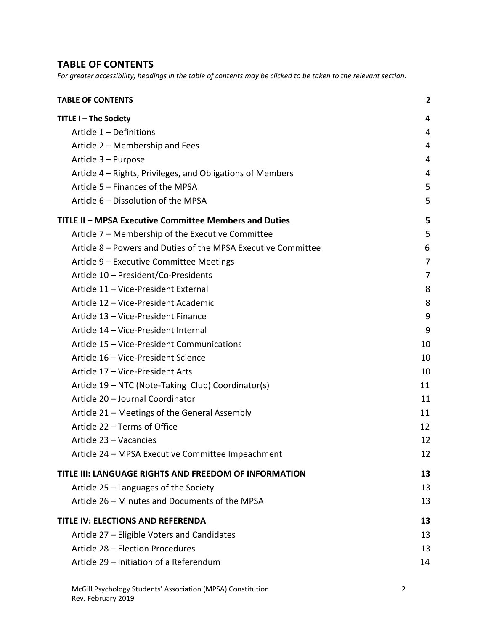#### <span id="page-1-0"></span>**TABLE OF CONTENTS**

For greater accessibility, headings in the table of contents may be clicked to be taken to the relevant section.

| <b>TABLE OF CONTENTS</b>                                      | 2  |
|---------------------------------------------------------------|----|
| TITLE I - The Society                                         | 4  |
| Article 1 - Definitions                                       | 4  |
| Article 2 – Membership and Fees                               | 4  |
| Article 3 – Purpose                                           | 4  |
| Article 4 – Rights, Privileges, and Obligations of Members    | 4  |
| Article 5 - Finances of the MPSA                              | 5  |
| Article 6 - Dissolution of the MPSA                           | 5  |
| TITLE II - MPSA Executive Committee Members and Duties        | 5  |
| Article 7 – Membership of the Executive Committee             | 5  |
| Article 8 - Powers and Duties of the MPSA Executive Committee | 6  |
| Article 9 - Executive Committee Meetings                      | 7  |
| Article 10 - President/Co-Presidents                          | 7  |
| Article 11 - Vice-President External                          | 8  |
| Article 12 - Vice-President Academic                          | 8  |
| Article 13 - Vice-President Finance                           | 9  |
| Article 14 - Vice-President Internal                          | 9  |
| Article 15 - Vice-President Communications                    | 10 |
| Article 16 - Vice-President Science                           | 10 |
| Article 17 - Vice-President Arts                              | 10 |
| Article 19 – NTC (Note-Taking Club) Coordinator(s)            | 11 |
| Article 20 - Journal Coordinator                              | 11 |
| Article 21 – Meetings of the General Assembly                 | 11 |
| Article 22 - Terms of Office                                  | 12 |
| Article 23 - Vacancies                                        | 12 |
| Article 24 - MPSA Executive Committee Impeachment             | 12 |
| TITLE III: LANGUAGE RIGHTS AND FREEDOM OF INFORMATION         | 13 |
| Article 25 – Languages of the Society                         | 13 |
| Article 26 - Minutes and Documents of the MPSA                | 13 |
| <b>TITLE IV: ELECTIONS AND REFERENDA</b>                      | 13 |
| Article 27 - Eligible Voters and Candidates                   | 13 |
| Article 28 - Election Procedures                              | 13 |
| Article 29 - Initiation of a Referendum                       | 14 |
|                                                               |    |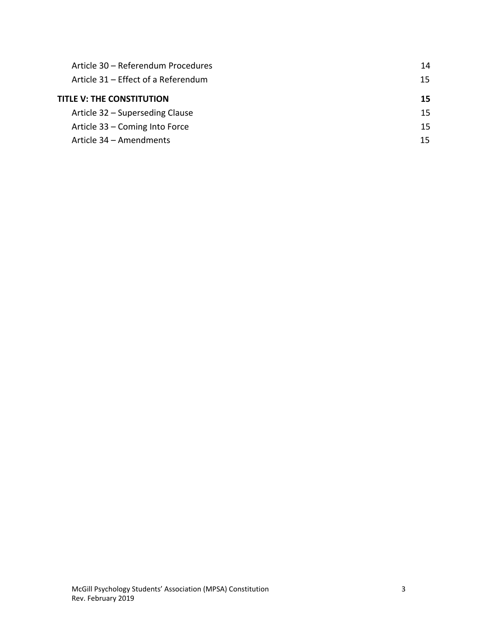| Article 30 - Referendum Procedures  | 14 |
|-------------------------------------|----|
| Article 31 – Effect of a Referendum | 15 |
| TITLE V: THE CONSTITUTION           | 15 |
| Article 32 – Superseding Clause     | 15 |
| Article 33 – Coming Into Force      | 15 |
| Article 34 - Amendments             | 15 |
|                                     |    |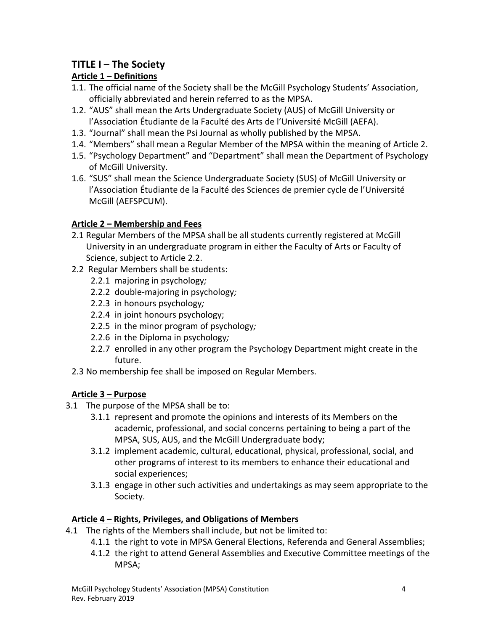# <span id="page-3-0"></span>**TITLE I – The Society**

# <span id="page-3-1"></span>**Article 1 – Definitions**

- 1.1. The official name of the Society shall be the McGill Psychology Students' Association, officially abbreviated and herein referred to as the MPSA.
- 1.2. "AUS" shall mean the Arts Undergraduate Society (AUS) of McGill University or l'Association Étudiante de la Faculté des Arts de l'Université McGill (AEFA).
- 1.3. "Journal" shall mean the Psi Journal as wholly published by the MPSA.
- 1.4. "Members" shall mean a Regular Member of the MPSA within the meaning of Article 2.
- 1.5. "Psychology Department" and "Department" shall mean the Department of Psychology of McGill University.
- 1.6. "SUS" shall mean the Science Undergraduate Society (SUS) of McGill University or l'Association Étudiante de la Faculté des Sciences de premier cycle de l'Université McGill (AEFSPCUM).

# <span id="page-3-2"></span>**Article 2 – Membership and Fees**

- 2.1 Regular Members of the MPSA shall be all students currently registered at McGill University in an undergraduate program in either the Faculty of Arts or Faculty of Science, subject to Article 2.2.
- 2.2 Regular Members shall be students:
	- 2.2.1 majoring in psychology*;*
	- 2.2.2 double-majoring in psychology*;*
	- 2.2.3 in honours psychology*;*
	- 2.2.4 in joint honours psychology;
	- 2.2.5 in the minor program of psychology*;*
	- 2.2.6 in the Diploma in psychology*;*
	- 2.2.7 enrolled in any other program the Psychology Department might create in the future.
- 2.3 No membership fee shall be imposed on Regular Members.

# <span id="page-3-3"></span>**Article 3 – Purpose**

- 3.1 The purpose of the MPSA shall be to:
	- 3.1.1 represent and promote the opinions and interests of its Members on the academic, professional, and social concerns pertaining to being a part of the MPSA, SUS, AUS, and the McGill Undergraduate body;
	- 3.1.2 implement academic, cultural, educational, physical, professional, social, and other programs of interest to its members to enhance their educational and social experiences;
	- 3.1.3 engage in other such activities and undertakings as may seem appropriate to the Society.

# <span id="page-3-4"></span>**Article 4 – Rights, Privileges, and Obligations of Members**

- 4.1 The rights of the Members shall include, but not be limited to:
	- 4.1.1 the right to vote in MPSA General Elections, Referenda and General Assemblies;
	- 4.1.2 the right to attend General Assemblies and Executive Committee meetings of the MPSA;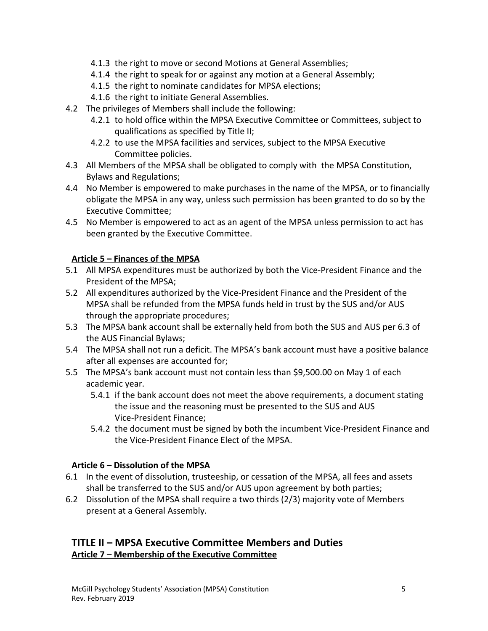- 4.1.3 the right to move or second Motions at General Assemblies;
- 4.1.4 the right to speak for or against any motion at a General Assembly;
- 4.1.5 the right to nominate candidates for MPSA elections;
- 4.1.6 the right to initiate General Assemblies.
- 4.2 The privileges of Members shall include the following:
	- 4.2.1 to hold office within the MPSA Executive Committee or Committees, subject to qualifications as specified by Title II;
	- 4.2.2 to use the MPSA facilities and services, subject to the MPSA Executive Committee policies.
- 4.3 All Members of the MPSA shall be obligated to comply with the MPSA Constitution, Bylaws and Regulations;
- 4.4 No Member is empowered to make purchases in the name of the MPSA, or to financially obligate the MPSA in any way, unless such permission has been granted to do so by the Executive Committee;
- 4.5 No Member is empowered to act as an agent of the MPSA unless permission to act has been granted by the Executive Committee.

#### <span id="page-4-0"></span>**Article 5 – Finances of the MPSA**

- 5.1 All MPSA expenditures must be authorized by both the Vice-President Finance and the President of the MPSA;
- 5.2 All expenditures authorized by the Vice-President Finance and the President of the MPSA shall be refunded from the MPSA funds held in trust by the SUS and/or AUS through the appropriate procedures;
- 5.3 The MPSA bank account shall be externally held from both the SUS and AUS per 6.3 of the AUS Financial Bylaws;
- 5.4 The MPSA shall not run a deficit. The MPSA's bank account must have a positive balance after all expenses are accounted for;
- 5.5 The MPSA's bank account must not contain less than \$9,500.00 on May 1 of each academic year.
	- 5.4.1 if the bank account does not meet the above requirements, a document stating the issue and the reasoning must be presented to the SUS and AUS Vice-President Finance;
	- 5.4.2 the document must be signed by both the incumbent Vice-President Finance and the Vice-President Finance Elect of the MPSA.

#### <span id="page-4-1"></span>**Article 6 – Dissolution of the MPSA**

- 6.1 In the event of dissolution, trusteeship, or cessation of the MPSA, all fees and assets shall be transferred to the SUS and/or AUS upon agreement by both parties;
- 6.2 Dissolution of the MPSA shall require a two thirds (2/3) majority vote of Members present at a General Assembly.

# <span id="page-4-3"></span><span id="page-4-2"></span>**TITLE II – MPSA Executive Committee Members and Duties Article 7 – Membership of the Executive Committee**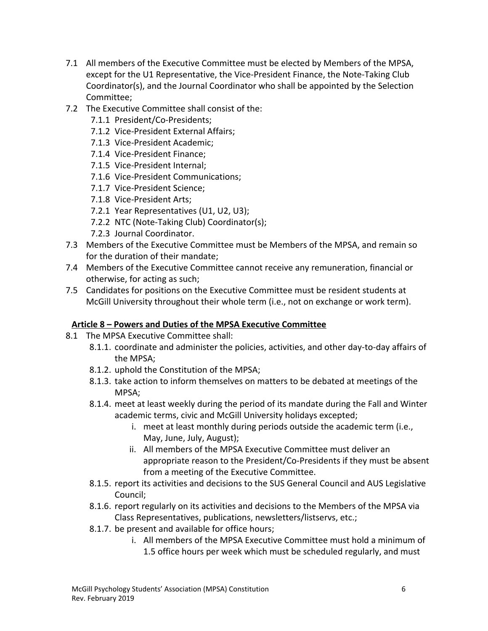- 7.1 All members of the Executive Committee must be elected by Members of the MPSA, except for the U1 Representative, the Vice-President Finance, the Note-Taking Club Coordinator(s), and the Journal Coordinator who shall be appointed by the Selection Committee;
- 7.2 The Executive Committee shall consist of the:
	- 7.1.1 President/Co-Presidents;
	- 7.1.2 Vice-President External Affairs;
	- 7.1.3 Vice-President Academic;
	- 7.1.4 Vice-President Finance;
	- 7.1.5 Vice-President Internal;
	- 7.1.6 Vice-President Communications;
	- 7.1.7 Vice-President Science;
	- 7.1.8 Vice-President Arts;
	- 7.2.1 Year Representatives (U1, U2, U3);
	- 7.2.2 NTC (Note-Taking Club) Coordinator(s);
	- 7.2.3 Journal Coordinator.
- 7.3 Members of the Executive Committee must be Members of the MPSA, and remain so for the duration of their mandate;
- 7.4 Members of the Executive Committee cannot receive any remuneration, financial or otherwise, for acting as such;
- 7.5 Candidates for positions on the Executive Committee must be resident students at McGill University throughout their whole term (i.e., not on exchange or work term).

#### <span id="page-5-0"></span>**Article 8 – Powers and Duties of the MPSA Executive Committee**

- 8.1 The MPSA Executive Committee shall:
	- 8.1.1. coordinate and administer the policies, activities, and other day-to-day affairs of the MPSA;
	- 8.1.2. uphold the Constitution of the MPSA;
	- 8.1.3. take action to inform themselves on matters to be debated at meetings of the MPSA;
	- 8.1.4. meet at least weekly during the period of its mandate during the Fall and Winter academic terms, civic and McGill University holidays excepted;
		- i. meet at least monthly during periods outside the academic term (i.e., May, June, July, August);
		- ii. All members of the MPSA Executive Committee must deliver an appropriate reason to the President/Co-Presidents if they must be absent from a meeting of the Executive Committee.
	- 8.1.5. report its activities and decisions to the SUS General Council and AUS Legislative Council;
	- 8.1.6. report regularly on its activities and decisions to the Members of the MPSA via Class Representatives, publications, newsletters/listservs, etc.;
	- 8.1.7. be present and available for office hours;
		- i. All members of the MPSA Executive Committee must hold a minimum of 1.5 office hours per week which must be scheduled regularly, and must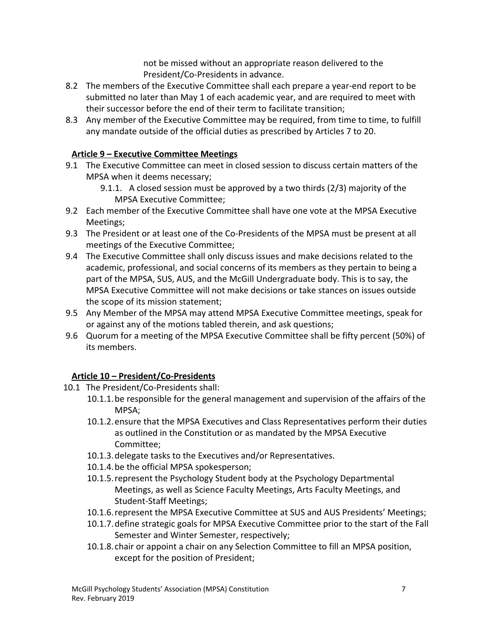not be missed without an appropriate reason delivered to the President/Co-Presidents in advance.

- 8.2 The members of the Executive Committee shall each prepare a year-end report to be submitted no later than May 1 of each academic year, and are required to meet with their successor before the end of their term to facilitate transition;
- 8.3 Any member of the Executive Committee may be required, from time to time, to fulfill any mandate outside of the official duties as prescribed by Articles 7 to 20.

# **Article 9 – Executive Committee Meetings**

- <span id="page-6-0"></span>9.1 The Executive Committee can meet in closed session to discuss certain matters of the MPSA when it deems necessary;
	- 9.1.1. A closed session must be approved by a two thirds (2/3) majority of the MPSA Executive Committee;
- 9.2 Each member of the Executive Committee shall have one vote at the MPSA Executive Meetings;
- 9.3 The President or at least one of the Co-Presidents of the MPSA must be present at all meetings of the Executive Committee;
- 9.4 The Executive Committee shall only discuss issues and make decisions related to the academic, professional, and social concerns of its members as they pertain to being a part of the MPSA, SUS, AUS, and the McGill Undergraduate body. This is to say, the MPSA Executive Committee will not make decisions or take stances on issues outside the scope of its mission statement;
- 9.5 Any Member of the MPSA may attend MPSA Executive Committee meetings, speak for or against any of the motions tabled therein, and ask questions;
- 9.6 Quorum for a meeting of the MPSA Executive Committee shall be fifty percent (50%) of its members.

# **Article 10 – President/Co-Presidents**

- <span id="page-6-1"></span>10.1 The President/Co-Presidents shall:
	- 10.1.1.be responsible for the general management and supervision of the affairs of the MPSA;
	- 10.1.2.ensure that the MPSA Executives and Class Representatives perform their duties as outlined in the Constitution or as mandated by the MPSA Executive Committee;
	- 10.1.3.delegate tasks to the Executives and/or Representatives.
	- 10.1.4.be the official MPSA spokesperson;
	- 10.1.5.represent the Psychology Student body at the Psychology Departmental Meetings, as well as Science Faculty Meetings, Arts Faculty Meetings, and Student-Staff Meetings;
	- 10.1.6.represent the MPSA Executive Committee at SUS and AUS Presidents' Meetings;
	- 10.1.7.define strategic goals for MPSA Executive Committee prior to the start of the Fall Semester and Winter Semester, respectively;
	- 10.1.8. chair or appoint a chair on any Selection Committee to fill an MPSA position, except for the position of President;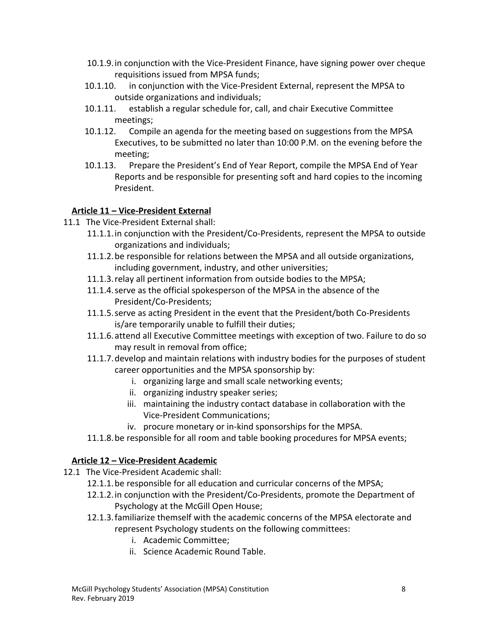- 10.1.9.in conjunction with the Vice-President Finance, have signing power over cheque requisitions issued from MPSA funds;
- 10.1.10. in conjunction with the Vice-President External, represent the MPSA to outside organizations and individuals;
- 10.1.11. establish a regular schedule for, call, and chair Executive Committee meetings;
- 10.1.12. Compile an agenda for the meeting based on suggestions from the MPSA Executives, to be submitted no later than 10:00 P.M. on the evening before the meeting;
- 10.1.13. Prepare the President's End of Year Report, compile the MPSA End of Year Reports and be responsible for presenting soft and hard copies to the incoming President.

#### <span id="page-7-0"></span>**Article 11 – Vice-President External**

- 11.1 The Vice-President External shall:
	- 11.1.1.in conjunction with the President/Co-Presidents, represent the MPSA to outside organizations and individuals;
	- 11.1.2.be responsible for relations between the MPSA and all outside organizations, including government, industry, and other universities;
	- 11.1.3.relay all pertinent information from outside bodies to the MPSA;
	- 11.1.4.serve as the official spokesperson of the MPSA in the absence of the President/Co-Presidents;
	- 11.1.5.serve as acting President in the event that the President/both Co-Presidents is/are temporarily unable to fulfill their duties;
	- 11.1.6.attend all Executive Committee meetings with exception of two. Failure to do so may result in removal from office;
	- 11.1.7.develop and maintain relations with industry bodies for the purposes of student career opportunities and the MPSA sponsorship by:
		- i. organizing large and small scale networking events;
		- ii. organizing industry speaker series;
		- iii. maintaining the industry contact database in collaboration with the Vice-President Communications;
		- iv. procure monetary or in-kind sponsorships for the MPSA.
	- 11.1.8.be responsible for all room and table booking procedures for MPSA events;

# <span id="page-7-1"></span>**Article 12 – Vice-President Academic**

- 12.1 The Vice-President Academic shall:
	- 12.1.1.be responsible for all education and curricular concerns of the MPSA;
	- 12.1.2.in conjunction with the President/Co-Presidents, promote the Department of Psychology at the McGill Open House;
	- 12.1.3.familiarize themself with the academic concerns of the MPSA electorate and represent Psychology students on the following committees:
		- i. Academic Committee;
		- ii. Science Academic Round Table.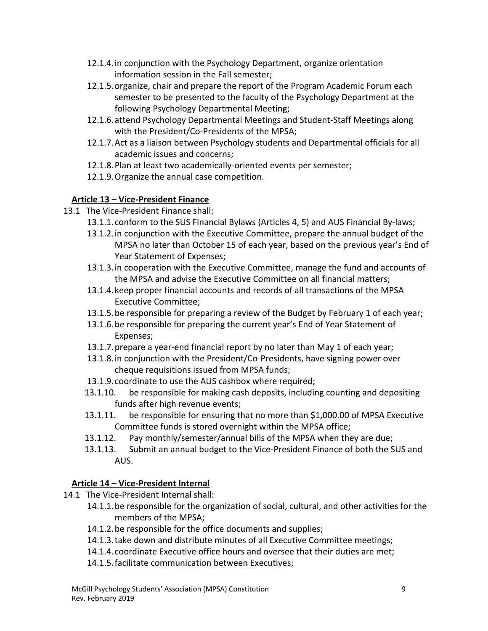- 12.1.4.in conjunction with the Psychology Department, organize orientation information session in the Fall semester;
- 12.1.5.organize, chair and prepare the report of the Program Academic Forum each semester to be presented to the faculty of the Psychology Department at the following Psychology Departmental Meeting;
- 12.1.6.attend Psychology Departmental Meetings and Student-Staff Meetings along with the President/Co-Presidents of the MPSA;
- 12.1.7.Act as a liaison between Psychology students and Departmental officials for all academic issues and concerns;
- 12.1.8.Plan at least two academically-oriented events per semester;
- 12.1.9.Organize the annual case competition.

# <span id="page-8-0"></span>**Article 13 – Vice-President Finance**

- 13.1 The Vice-President Finance shall:
	- 13.1.1. conform to the SUS Financial Bylaws (Articles 4, 5) and AUS Financial By-laws;
	- 13.1.2.in conjunction with the Executive Committee, prepare the annual budget of the MPSA no later than October 15 of each year, based on the previous year's End of Year Statement of Expenses;
	- 13.1.3.in cooperation with the Executive Committee, manage the fund and accounts of the MPSA and advise the Executive Committee on all financial matters;
	- 13.1.4.keep proper financial accounts and records of all transactions of the MPSA Executive Committee;
	- 13.1.5.be responsible for preparing a review of the Budget by February 1 of each year;
	- 13.1.6.be responsible for preparing the current year's End of Year Statement of Expenses;
	- 13.1.7.prepare a year-end financial report by no later than May 1 of each year;
	- 13.1.8.in conjunction with the President/Co-Presidents, have signing power over cheque requisitions issued from MPSA funds;
	- 13.1.9. coordinate to use the AUS cashbox where required;
	- 13.1.10. be responsible for making cash deposits, including counting and depositing funds after high revenue events;
	- 13.1.11. be responsible for ensuring that no more than \$1,000.00 of MPSA Executive Committee funds is stored overnight within the MPSA office;
	- 13.1.12. Pay monthly/semester/annual bills of the MPSA when they are due;
	- 13.1.13. Submit an annual budget to the Vice-President Finance of both the SUS and AUS.

# **Article 14 – Vice-President Internal**

- <span id="page-8-1"></span>14.1 The Vice-President Internal shall:
	- 14.1.1.be responsible for the organization of social, cultural, and other activities for the members of the MPSA;
	- 14.1.2.be responsible for the office documents and supplies;
	- 14.1.3.take down and distribute minutes of all Executive Committee meetings;
	- 14.1.4. coordinate Executive office hours and oversee that their duties are met;
	- 14.1.5.facilitate communication between Executives;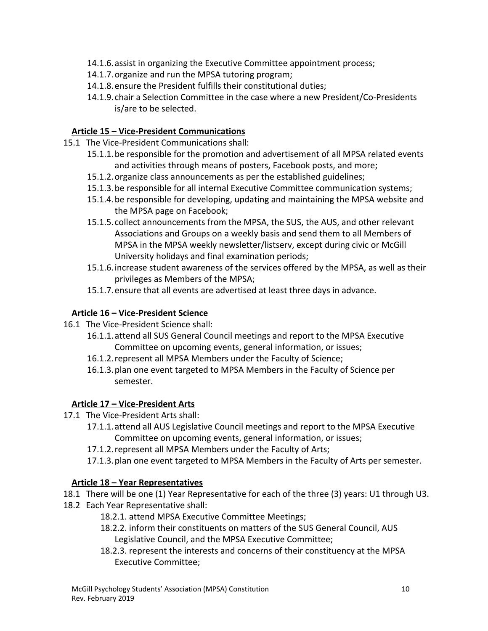- 14.1.6.assist in organizing the Executive Committee appointment process;
- 14.1.7.organize and run the MPSA tutoring program;
- 14.1.8.ensure the President fulfills their constitutional duties;
- 14.1.9. chair a Selection Committee in the case where a new President/Co-Presidents is/are to be selected.

#### <span id="page-9-0"></span>**Article 15 – Vice-President Communications**

- 15.1 The Vice-President Communications shall:
	- 15.1.1.be responsible for the promotion and advertisement of all MPSA related events and activities through means of posters, Facebook posts, and more;
	- 15.1.2.organize class announcements as per the established guidelines;
	- 15.1.3.be responsible for all internal Executive Committee communication systems;
	- 15.1.4.be responsible for developing, updating and maintaining the MPSA website and the MPSA page on Facebook;
	- 15.1.5. collect announcements from the MPSA, the SUS, the AUS, and other relevant Associations and Groups on a weekly basis and send them to all Members of MPSA in the MPSA weekly newsletter/listserv, except during civic or McGill University holidays and final examination periods;
	- 15.1.6.increase student awareness of the services offered by the MPSA, as well as their privileges as Members of the MPSA;
	- 15.1.7.ensure that all events are advertised at least three days in advance.

# <span id="page-9-1"></span>**Article 16 – Vice-President Science**

- 16.1 The Vice-President Science shall:
	- 16.1.1.attend all SUS General Council meetings and report to the MPSA Executive Committee on upcoming events, general information, or issues;
	- 16.1.2.represent all MPSA Members under the Faculty of Science;
	- 16.1.3.plan one event targeted to MPSA Members in the Faculty of Science per semester.

# <span id="page-9-2"></span>**Article 17 – Vice-President Arts**

- 17.1 The Vice-President Arts shall:
	- 17.1.1.attend all AUS Legislative Council meetings and report to the MPSA Executive Committee on upcoming events, general information, or issues;
	- 17.1.2.represent all MPSA Members under the Faculty of Arts;
	- 17.1.3.plan one event targeted to MPSA Members in the Faculty of Arts per semester.

# **Article 18 – Year Representatives**

- 18.1 There will be one (1) Year Representative for each of the three (3) years: U1 through U3.
- 18.2 Each Year Representative shall:
	- 18.2.1. attend MPSA Executive Committee Meetings;
	- 18.2.2. inform their constituents on matters of the SUS General Council, AUS Legislative Council, and the MPSA Executive Committee;
	- 18.2.3. represent the interests and concerns of their constituency at the MPSA Executive Committee;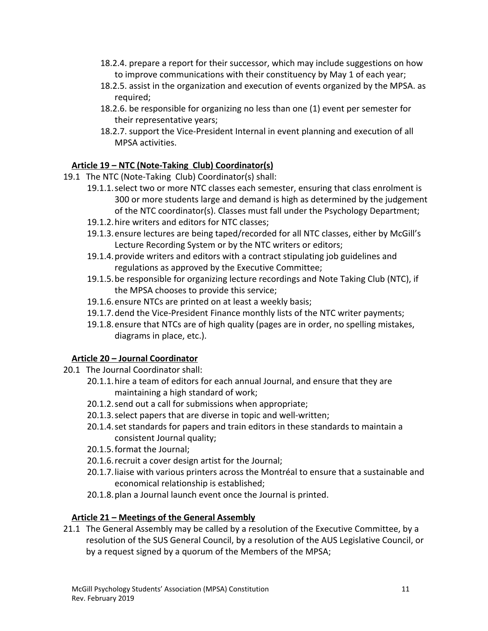- 18.2.4. prepare a report for their successor, which may include suggestions on how to improve communications with their constituency by May 1 of each year;
- 18.2.5. assist in the organization and execution of events organized by the MPSA. as required;
- 18.2.6. be responsible for organizing no less than one (1) event per semester for their representative years;
- 18.2.7. support the Vice-President Internal in event planning and execution of all MPSA activities.

#### <span id="page-10-0"></span>**Article 19 – NTC (Note-Taking Club) Coordinator(s)**

- 19.1 The NTC (Note-Taking Club) Coordinator(s) shall:
	- 19.1.1.select two or more NTC classes each semester, ensuring that class enrolment is 300 or more students large and demand is high as determined by the judgement of the NTC coordinator(s). Classes must fall under the Psychology Department;
	- 19.1.2.hire writers and editors for NTC classes;
	- 19.1.3.ensure lectures are being taped/recorded for all NTC classes, either by McGill's Lecture Recording System or by the NTC writers or editors;
	- 19.1.4.provide writers and editors with a contract stipulating job guidelines and regulations as approved by the Executive Committee;
	- 19.1.5.be responsible for organizing lecture recordings and Note Taking Club (NTC), if the MPSA chooses to provide this service;
	- 19.1.6.ensure NTCs are printed on at least a weekly basis;
	- 19.1.7.dend the Vice-President Finance monthly lists of the NTC writer payments;
	- 19.1.8.ensure that NTCs are of high quality (pages are in order, no spelling mistakes, diagrams in place, etc.).

# **Article 20 – Journal Coordinator**

- <span id="page-10-1"></span>20.1 The Journal Coordinator shall:
	- 20.1.1.hire a team of editors for each annual Journal, and ensure that they are maintaining a high standard of work;
	- 20.1.2.send out a call for submissions when appropriate;
	- 20.1.3.select papers that are diverse in topic and well-written;
	- 20.1.4.set standards for papers and train editors in these standards to maintain a consistent Journal quality;
	- 20.1.5.format the Journal;
	- 20.1.6.recruit a cover design artist for the Journal;
	- 20.1.7.liaise with various printers across the Montréal to ensure that a sustainable and economical relationship is established;
	- 20.1.8.plan a Journal launch event once the Journal is printed.

#### **Article 21 – Meetings of the General Assembly**

<span id="page-10-2"></span>21.1 The General Assembly may be called by a resolution of the Executive Committee, by a resolution of the SUS General Council, by a resolution of the AUS Legislative Council, or by a request signed by a quorum of the Members of the MPSA;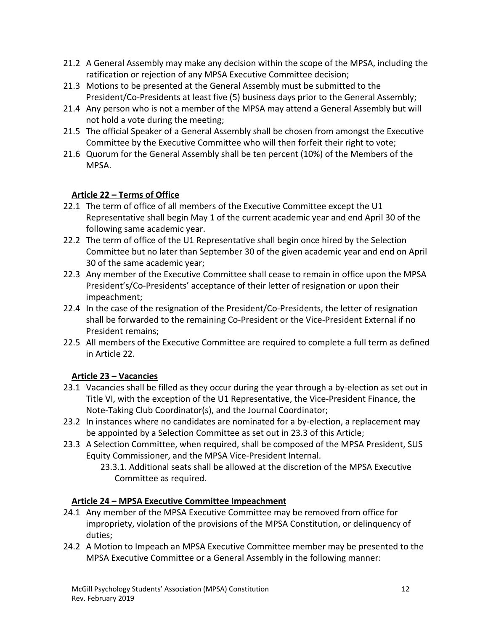- 21.2 A General Assembly may make any decision within the scope of the MPSA, including the ratification or rejection of any MPSA Executive Committee decision;
- 21.3 Motions to be presented at the General Assembly must be submitted to the President/Co-Presidents at least five (5) business days prior to the General Assembly;
- 21.4 Any person who is not a member of the MPSA may attend a General Assembly but will not hold a vote during the meeting;
- 21.5 The official Speaker of a General Assembly shall be chosen from amongst the Executive Committee by the Executive Committee who will then forfeit their right to vote;
- 21.6 Quorum for the General Assembly shall be ten percent (10%) of the Members of the MPSA.

# **Article 22 – Terms of Office**

- <span id="page-11-0"></span>22.1 The term of office of all members of the Executive Committee except the U1 Representative shall begin May 1 of the current academic year and end April 30 of the following same academic year.
- 22.2 The term of office of the U1 Representative shall begin once hired by the Selection Committee but no later than September 30 of the given academic year and end on April 30 of the same academic year;
- 22.3 Any member of the Executive Committee shall cease to remain in office upon the MPSA President's/Co-Presidents' acceptance of their letter of resignation or upon their impeachment;
- 22.4 In the case of the resignation of the President/Co-Presidents, the letter of resignation shall be forwarded to the remaining Co-President or the Vice-President External if no President remains;
- 22.5 All members of the Executive Committee are required to complete a full term as defined in Article 22.

# **Article 23 – Vacancies**

- <span id="page-11-1"></span>23.1 Vacancies shall be filled as they occur during the year through a by-election as set out in Title VI, with the exception of the U1 Representative, the Vice-President Finance, the Note-Taking Club Coordinator(s), and the Journal Coordinator;
- 23.2 In instances where no candidates are nominated for a by-election, a replacement may be appointed by a Selection Committee as set out in 23.3 of this Article;
- 23.3 A Selection Committee, when required, shall be composed of the MPSA President, SUS Equity Commissioner, and the MPSA Vice-President Internal.
	- 23.3.1. Additional seats shall be allowed at the discretion of the MPSA Executive Committee as required.

# **Article 24 – MPSA Executive Committee Impeachment**

- <span id="page-11-2"></span>24.1 Any member of the MPSA Executive Committee may be removed from office for impropriety, violation of the provisions of the MPSA Constitution, or delinquency of duties;
- 24.2 A Motion to Impeach an MPSA Executive Committee member may be presented to the MPSA Executive Committee or a General Assembly in the following manner: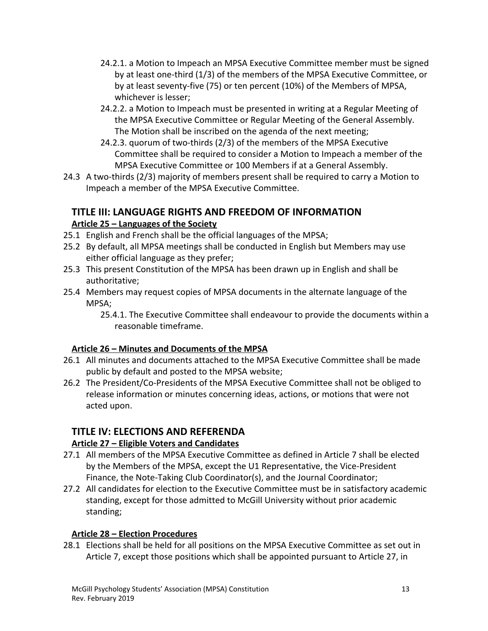- 24.2.1. a Motion to Impeach an MPSA Executive Committee member must be signed by at least one-third (1/3) of the members of the MPSA Executive Committee, or by at least seventy-five (75) or ten percent (10%) of the Members of MPSA, whichever is lesser;
- 24.2.2. a Motion to Impeach must be presented in writing at a Regular Meeting of the MPSA Executive Committee or Regular Meeting of the General Assembly. The Motion shall be inscribed on the agenda of the next meeting;
- 24.2.3. quorum of two-thirds (2/3) of the members of the MPSA Executive Committee shall be required to consider a Motion to Impeach a member of the MPSA Executive Committee or 100 Members if at a General Assembly.
- 24.3 A two-thirds (2/3) majority of members present shall be required to carry a Motion to Impeach a member of the MPSA Executive Committee.

# <span id="page-12-0"></span>**TITLE III: LANGUAGE RIGHTS AND FREEDOM OF INFORMATION Article 25 – Languages of the Society**

- <span id="page-12-1"></span>25.1 English and French shall be the official languages of the MPSA;
- 25.2 By default, all MPSA meetings shall be conducted in English but Members may use either official language as they prefer;
- 25.3 This present Constitution of the MPSA has been drawn up in English and shall be authoritative;
- 25.4 Members may request copies of MPSA documents in the alternate language of the MPSA;
	- 25.4.1. The Executive Committee shall endeavour to provide the documents within a reasonable timeframe.

# <span id="page-12-2"></span>**Article 26 – Minutes and Documents of the MPSA**

- 26.1 All minutes and documents attached to the MPSA Executive Committee shall be made public by default and posted to the MPSA website;
- 26.2 The President/Co-Presidents of the MPSA Executive Committee shall not be obliged to release information or minutes concerning ideas, actions, or motions that were not acted upon.

# <span id="page-12-3"></span>**TITLE IV: ELECTIONS AND REFERENDA**

# <span id="page-12-4"></span>**Article 27 – Eligible Voters and Candidates**

- 27.1 All members of the MPSA Executive Committee as defined in Article 7 shall be elected by the Members of the MPSA, except the U1 Representative, the Vice-President Finance, the Note-Taking Club Coordinator(s), and the Journal Coordinator;
- 27.2 All candidates for election to the Executive Committee must be in satisfactory academic standing, except for those admitted to McGill University without prior academic standing;

# **Article 28 – Election Procedures**

<span id="page-12-5"></span>28.1 Elections shall be held for all positions on the MPSA Executive Committee as set out in Article 7, except those positions which shall be appointed pursuant to Article 27, in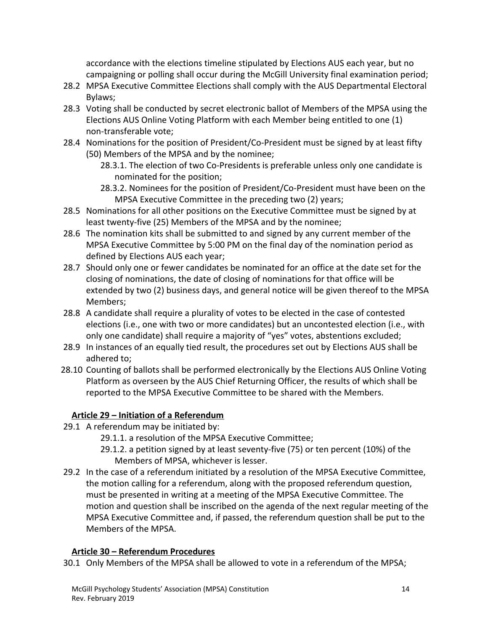accordance with the elections timeline stipulated by Elections AUS each year, but no campaigning or polling shall occur during the McGill University final examination period;

- 28.2 MPSA Executive Committee Elections shall comply with the AUS Departmental Electoral Bylaws;
- 28.3 Voting shall be conducted by secret electronic ballot of Members of the MPSA using the Elections AUS Online Voting Platform with each Member being entitled to one (1) non-transferable vote;
- 28.4 Nominations for the position of President/Co-President must be signed by at least fifty (50) Members of the MPSA and by the nominee;
	- 28.3.1. The election of two Co-Presidents is preferable unless only one candidate is nominated for the position;
	- 28.3.2. Nominees for the position of President/Co-President must have been on the MPSA Executive Committee in the preceding two (2) years;
- 28.5 Nominations for all other positions on the Executive Committee must be signed by at least twenty-five (25) Members of the MPSA and by the nominee;
- 28.6 The nomination kits shall be submitted to and signed by any current member of the MPSA Executive Committee by 5:00 PM on the final day of the nomination period as defined by Elections AUS each year;
- 28.7 Should only one or fewer candidates be nominated for an office at the date set for the closing of nominations, the date of closing of nominations for that office will be extended by two (2) business days, and general notice will be given thereof to the MPSA Members;
- 28.8 A candidate shall require a plurality of votes to be elected in the case of contested elections (i.e., one with two or more candidates) but an uncontested election (i.e., with only one candidate) shall require a majority of "yes" votes, abstentions excluded;
- 28.9 In instances of an equally tied result, the procedures set out by Elections AUS shall be adhered to;
- 28.10 Counting of ballots shall be performed electronically by the Elections AUS Online Voting Platform as overseen by the AUS Chief Returning Officer, the results of which shall be reported to the MPSA Executive Committee to be shared with the Members.

# **Article 29 – Initiation of a Referendum**

- <span id="page-13-0"></span>29.1 A referendum may be initiated by:
	- 29.1.1. a resolution of the MPSA Executive Committee;
	- 29.1.2. a petition signed by at least seventy-five (75) or ten percent (10%) of the Members of MPSA, whichever is lesser.
- 29.2 In the case of a referendum initiated by a resolution of the MPSA Executive Committee, the motion calling for a referendum, along with the proposed referendum question, must be presented in writing at a meeting of the MPSA Executive Committee. The motion and question shall be inscribed on the agenda of the next regular meeting of the MPSA Executive Committee and, if passed, the referendum question shall be put to the Members of the MPSA.

#### **Article 30 – Referendum Procedures**

<span id="page-13-1"></span>30.1 Only Members of the MPSA shall be allowed to vote in a referendum of the MPSA;